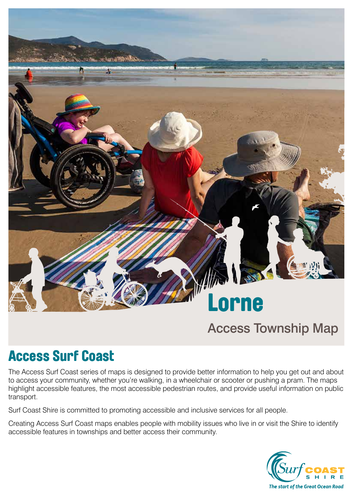

# Access Township Map

# Access Surf Coast

The Access Surf Coast series of maps is designed to provide better information to help you get out and about to access your community, whether you're walking, in a wheelchair or scooter or pushing a pram. The maps highlight accessible features, the most accessible pedestrian routes, and provide useful information on public transport.

Surf Coast Shire is committed to promoting accessible and inclusive services for all people.

Creating Access Surf Coast maps enables people with mobility issues who live in or visit the Shire to identify accessible features in townships and better access their community.

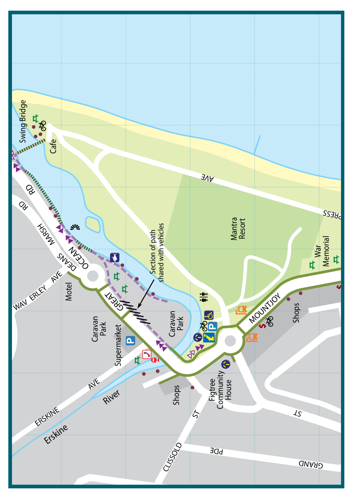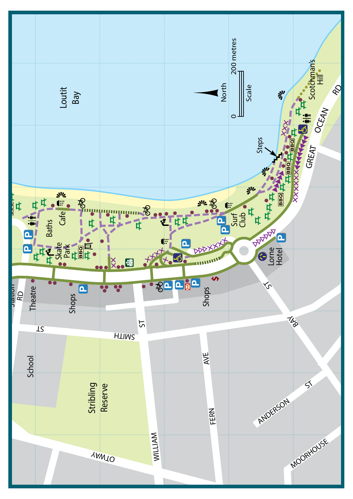